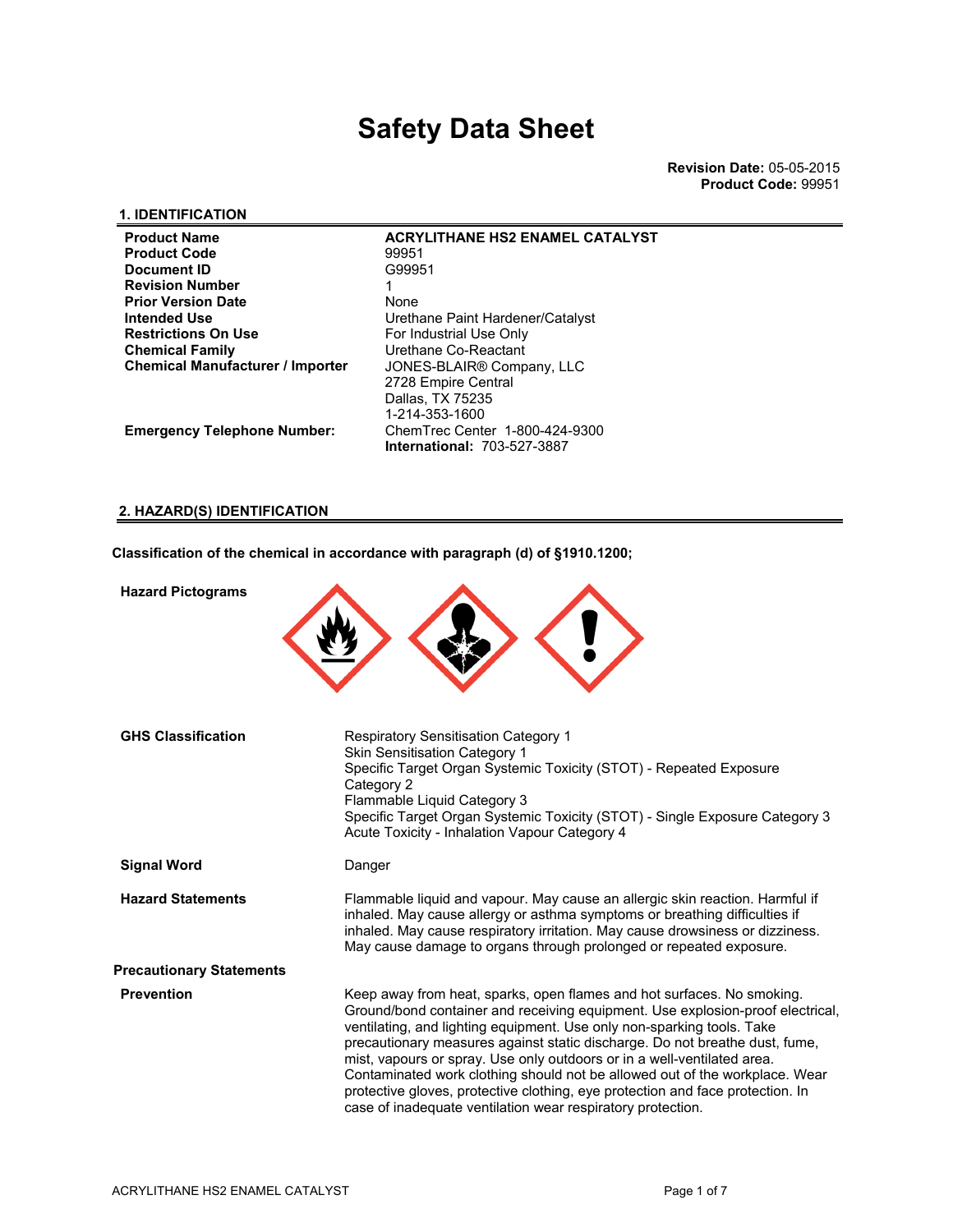### **1. IDENTIFICATION**

| <b>Product Name</b>                     | <b>ACRYLITHANE HS2 ENAMEL CATALYST</b> |
|-----------------------------------------|----------------------------------------|
| <b>Product Code</b>                     | 99951                                  |
| Document ID                             | G99951                                 |
| Revision Number                         |                                        |
| Prior Version Date                      | None                                   |
| Intended Use                            | Urethane Paint Hardener/Catalyst       |
| <b>Restrictions On Use</b>              | For Industrial Use Only                |
| Chemical Family                         | Urethane Co-Reactant                   |
| <b>Chemical Manufacturer / Importer</b> | JONES-BLAIR® Company, LLC              |
|                                         | 2728 Empire Central                    |
|                                         | Dallas, TX 75235                       |
|                                         | 1-214-353-1600                         |
| <b>Emergency Telephone Number:</b>      | ChemTrec Center 1-800-424-9300         |
|                                         | <b>International: 703-527-3887</b>     |

**2. HAZARD(S) IDENTIFICATION**

**Classification of the chemical in accordance with paragraph (d) of §1910.1200;**

| <b>Hazard Pictograms</b>        |                                                                                                                                                                                                                                                                                                                                                                                                                                                                                                                                                                                                                              |
|---------------------------------|------------------------------------------------------------------------------------------------------------------------------------------------------------------------------------------------------------------------------------------------------------------------------------------------------------------------------------------------------------------------------------------------------------------------------------------------------------------------------------------------------------------------------------------------------------------------------------------------------------------------------|
| <b>GHS Classification</b>       | <b>Respiratory Sensitisation Category 1</b><br><b>Skin Sensitisation Category 1</b><br>Specific Target Organ Systemic Toxicity (STOT) - Repeated Exposure<br>Category 2<br>Flammable Liquid Category 3<br>Specific Target Organ Systemic Toxicity (STOT) - Single Exposure Category 3<br>Acute Toxicity - Inhalation Vapour Category 4                                                                                                                                                                                                                                                                                       |
| <b>Signal Word</b>              | Danger                                                                                                                                                                                                                                                                                                                                                                                                                                                                                                                                                                                                                       |
| <b>Hazard Statements</b>        | Flammable liquid and vapour. May cause an allergic skin reaction. Harmful if<br>inhaled. May cause allergy or asthma symptoms or breathing difficulties if<br>inhaled. May cause respiratory irritation. May cause drowsiness or dizziness.<br>May cause damage to organs through prolonged or repeated exposure.                                                                                                                                                                                                                                                                                                            |
| <b>Precautionary Statements</b> |                                                                                                                                                                                                                                                                                                                                                                                                                                                                                                                                                                                                                              |
| <b>Prevention</b>               | Keep away from heat, sparks, open flames and hot surfaces. No smoking.<br>Ground/bond container and receiving equipment. Use explosion-proof electrical,<br>ventilating, and lighting equipment. Use only non-sparking tools. Take<br>precautionary measures against static discharge. Do not breathe dust, fume,<br>mist, vapours or spray. Use only outdoors or in a well-ventilated area.<br>Contaminated work clothing should not be allowed out of the workplace. Wear<br>protective gloves, protective clothing, eye protection and face protection. In<br>case of inadequate ventilation wear respiratory protection. |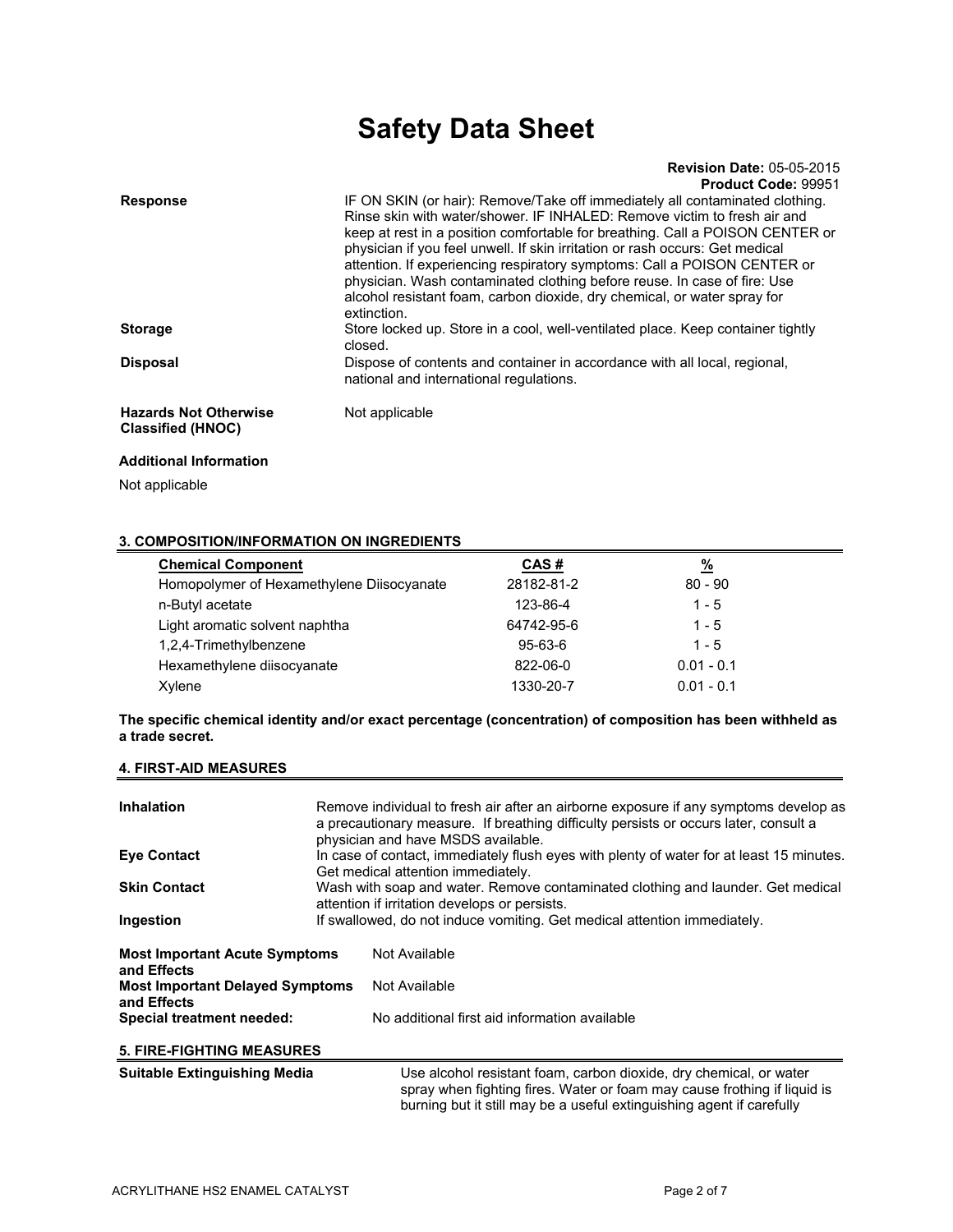#### **Revision Date:** 05-05-2015 **Product Code:** 99951

| <b>Response</b>               | IF ON SKIN (or hair): Remove/Take off immediately all contaminated clothing.    |
|-------------------------------|---------------------------------------------------------------------------------|
|                               | Rinse skin with water/shower. IF INHALED: Remove victim to fresh air and        |
|                               | keep at rest in a position comfortable for breathing. Call a POISON CENTER or   |
|                               | physician if you feel unwell. If skin irritation or rash occurs: Get medical    |
|                               |                                                                                 |
|                               | attention. If experiencing respiratory symptoms: Call a POISON CENTER or        |
|                               | physician. Wash contaminated clothing before reuse. In case of fire: Use        |
|                               | alcohol resistant foam, carbon dioxide, dry chemical, or water spray for        |
|                               | extinction.                                                                     |
| <b>Storage</b>                | Store locked up. Store in a cool, well-ventilated place. Keep container tightly |
|                               |                                                                                 |
|                               | closed.                                                                         |
| <b>Disposal</b>               | Dispose of contents and container in accordance with all local, regional,       |
|                               | national and international regulations.                                         |
|                               |                                                                                 |
| <b>Hazards Not Otherwise</b>  | Not applicable                                                                  |
|                               |                                                                                 |
| <b>Classified (HNOC)</b>      |                                                                                 |
| <b>Additional Information</b> |                                                                                 |
|                               |                                                                                 |

Not applicable

#### **3. COMPOSITION/INFORMATION ON INGREDIENTS**

| <b>Chemical Component</b>                 | CAS#          | <u>%</u>     |  |
|-------------------------------------------|---------------|--------------|--|
| Homopolymer of Hexamethylene Diisocyanate | 28182-81-2    | $80 - 90$    |  |
| n-Butyl acetate                           | 123-86-4      | $1 - 5$      |  |
| Light aromatic solvent naphtha            | 64742-95-6    | $1 - 5$      |  |
| 1,2,4-Trimethylbenzene                    | $95 - 63 - 6$ | $1 - 5$      |  |
| Hexamethylene diisocyanate                | 822-06-0      | $0.01 - 0.1$ |  |
| Xylene                                    | 1330-20-7     | $0.01 - 0.1$ |  |

**The specific chemical identity and/or exact percentage (concentration) of composition has been withheld as a trade secret.** 

#### **4. FIRST-AID MEASURES**

| <b>Inhalation</b>                                     | Remove individual to fresh air after an airborne exposure if any symptoms develop as<br>a precautionary measure. If breathing difficulty persists or occurs later, consult a<br>physician and have MSDS available. |                                                                                                                                                                                                                         |  |
|-------------------------------------------------------|--------------------------------------------------------------------------------------------------------------------------------------------------------------------------------------------------------------------|-------------------------------------------------------------------------------------------------------------------------------------------------------------------------------------------------------------------------|--|
| <b>Eve Contact</b>                                    | In case of contact, immediately flush eyes with plenty of water for at least 15 minutes.<br>Get medical attention immediately.                                                                                     |                                                                                                                                                                                                                         |  |
| <b>Skin Contact</b>                                   |                                                                                                                                                                                                                    | Wash with soap and water. Remove contaminated clothing and launder. Get medical<br>attention if irritation develops or persists.                                                                                        |  |
| Ingestion                                             | If swallowed, do not induce vomiting. Get medical attention immediately.                                                                                                                                           |                                                                                                                                                                                                                         |  |
| <b>Most Important Acute Symptoms</b><br>and Effects   |                                                                                                                                                                                                                    | Not Available                                                                                                                                                                                                           |  |
| <b>Most Important Delayed Symptoms</b><br>and Effects |                                                                                                                                                                                                                    | Not Available                                                                                                                                                                                                           |  |
| Special treatment needed:                             |                                                                                                                                                                                                                    | No additional first aid information available                                                                                                                                                                           |  |
| <b>5. FIRE-FIGHTING MEASURES</b>                      |                                                                                                                                                                                                                    |                                                                                                                                                                                                                         |  |
| <b>Suitable Extinguishing Media</b>                   |                                                                                                                                                                                                                    | Use alcohol resistant foam, carbon dioxide, dry chemical, or water<br>spray when fighting fires. Water or foam may cause frothing if liquid is<br>burning but it still may be a useful extinguishing agent if carefully |  |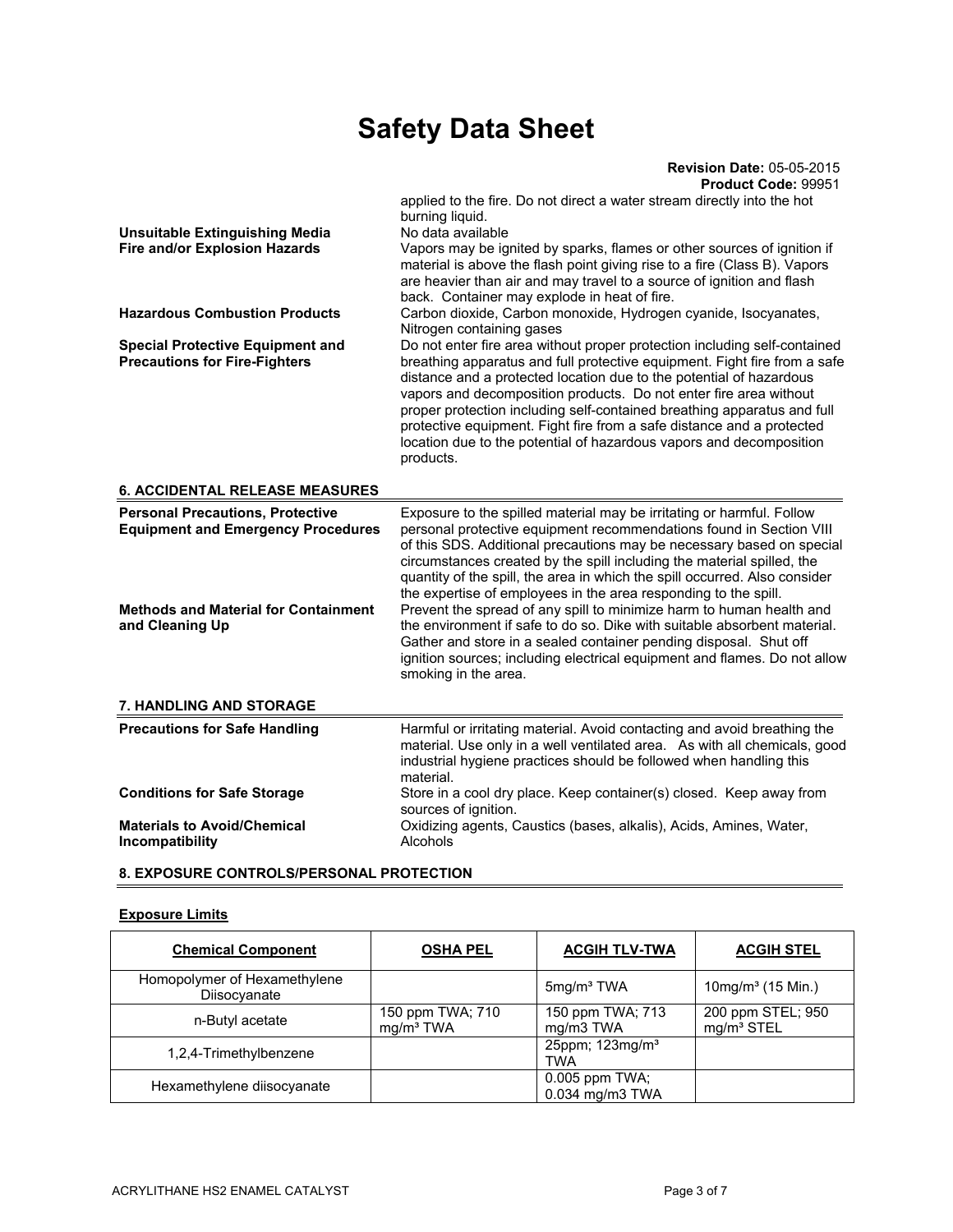| Product Code: 99951                                                                                                                                                                                                                                                                                                                                                                                                                                                                                                                                                                                                                                                                                                                                             |  |
|-----------------------------------------------------------------------------------------------------------------------------------------------------------------------------------------------------------------------------------------------------------------------------------------------------------------------------------------------------------------------------------------------------------------------------------------------------------------------------------------------------------------------------------------------------------------------------------------------------------------------------------------------------------------------------------------------------------------------------------------------------------------|--|
| applied to the fire. Do not direct a water stream directly into the hot                                                                                                                                                                                                                                                                                                                                                                                                                                                                                                                                                                                                                                                                                         |  |
| burning liquid.                                                                                                                                                                                                                                                                                                                                                                                                                                                                                                                                                                                                                                                                                                                                                 |  |
| No data available                                                                                                                                                                                                                                                                                                                                                                                                                                                                                                                                                                                                                                                                                                                                               |  |
| Vapors may be ignited by sparks, flames or other sources of ignition if<br>material is above the flash point giving rise to a fire (Class B). Vapors<br>are heavier than air and may travel to a source of ignition and flash<br>back. Container may explode in heat of fire.                                                                                                                                                                                                                                                                                                                                                                                                                                                                                   |  |
| Carbon dioxide, Carbon monoxide, Hydrogen cyanide, Isocyanates,<br>Nitrogen containing gases                                                                                                                                                                                                                                                                                                                                                                                                                                                                                                                                                                                                                                                                    |  |
| Do not enter fire area without proper protection including self-contained<br>breathing apparatus and full protective equipment. Fight fire from a safe<br>distance and a protected location due to the potential of hazardous<br>vapors and decomposition products. Do not enter fire area without<br>proper protection including self-contained breathing apparatus and full<br>protective equipment. Fight fire from a safe distance and a protected<br>location due to the potential of hazardous vapors and decomposition<br>products.                                                                                                                                                                                                                      |  |
|                                                                                                                                                                                                                                                                                                                                                                                                                                                                                                                                                                                                                                                                                                                                                                 |  |
| Exposure to the spilled material may be irritating or harmful. Follow                                                                                                                                                                                                                                                                                                                                                                                                                                                                                                                                                                                                                                                                                           |  |
| <b>Personal Precautions, Protective</b><br><b>Equipment and Emergency Procedures</b><br>personal protective equipment recommendations found in Section VIII<br>of this SDS. Additional precautions may be necessary based on special<br>circumstances created by the spill including the material spilled, the<br>quantity of the spill, the area in which the spill occurred. Also consider<br>the expertise of employees in the area responding to the spill.<br><b>Methods and Material for Containment</b><br>Prevent the spread of any spill to minimize harm to human health and<br>the environment if safe to do so. Dike with suitable absorbent material.<br>Gather and store in a sealed container pending disposal. Shut off<br>smoking in the area. |  |
| ignition sources; including electrical equipment and flames. Do not allow                                                                                                                                                                                                                                                                                                                                                                                                                                                                                                                                                                                                                                                                                       |  |
|                                                                                                                                                                                                                                                                                                                                                                                                                                                                                                                                                                                                                                                                                                                                                                 |  |
| Harmful or irritating material. Avoid contacting and avoid breathing the<br>material. Use only in a well ventilated area. As with all chemicals, good<br>industrial hygiene practices should be followed when handling this<br>material.                                                                                                                                                                                                                                                                                                                                                                                                                                                                                                                        |  |
| Store in a cool dry place. Keep container(s) closed. Keep away from<br>sources of ignition.                                                                                                                                                                                                                                                                                                                                                                                                                                                                                                                                                                                                                                                                     |  |
|                                                                                                                                                                                                                                                                                                                                                                                                                                                                                                                                                                                                                                                                                                                                                                 |  |

### **8. EXPOSURE CONTROLS/PERSONAL PROTECTION**

#### **Exposure Limits**

| <b>Chemical Component</b>                    | <b>OSHA PEL</b>                           | <b>ACGIH TLV-TWA</b>                      | <b>ACGIH STEL</b>                           |
|----------------------------------------------|-------------------------------------------|-------------------------------------------|---------------------------------------------|
| Homopolymer of Hexamethylene<br>Diisocyanate |                                           | 5mg/m <sup>3</sup> TWA                    | $10$ mg/m <sup>3</sup> (15 Min.)            |
| n-Butyl acetate                              | 150 ppm TWA; 710<br>mg/m <sup>3</sup> TWA | 150 ppm TWA; 713<br>mg/m3 TWA             | 200 ppm STEL; 950<br>mg/m <sup>3</sup> STEL |
| 1,2,4-Trimethylbenzene                       |                                           | 25ppm; 123mg/m <sup>3</sup><br><b>TWA</b> |                                             |
| Hexamethylene diisocyanate                   |                                           | 0.005 ppm TWA;<br>0.034 mg/m3 TWA         |                                             |

**Revision Date:** 05-05-2015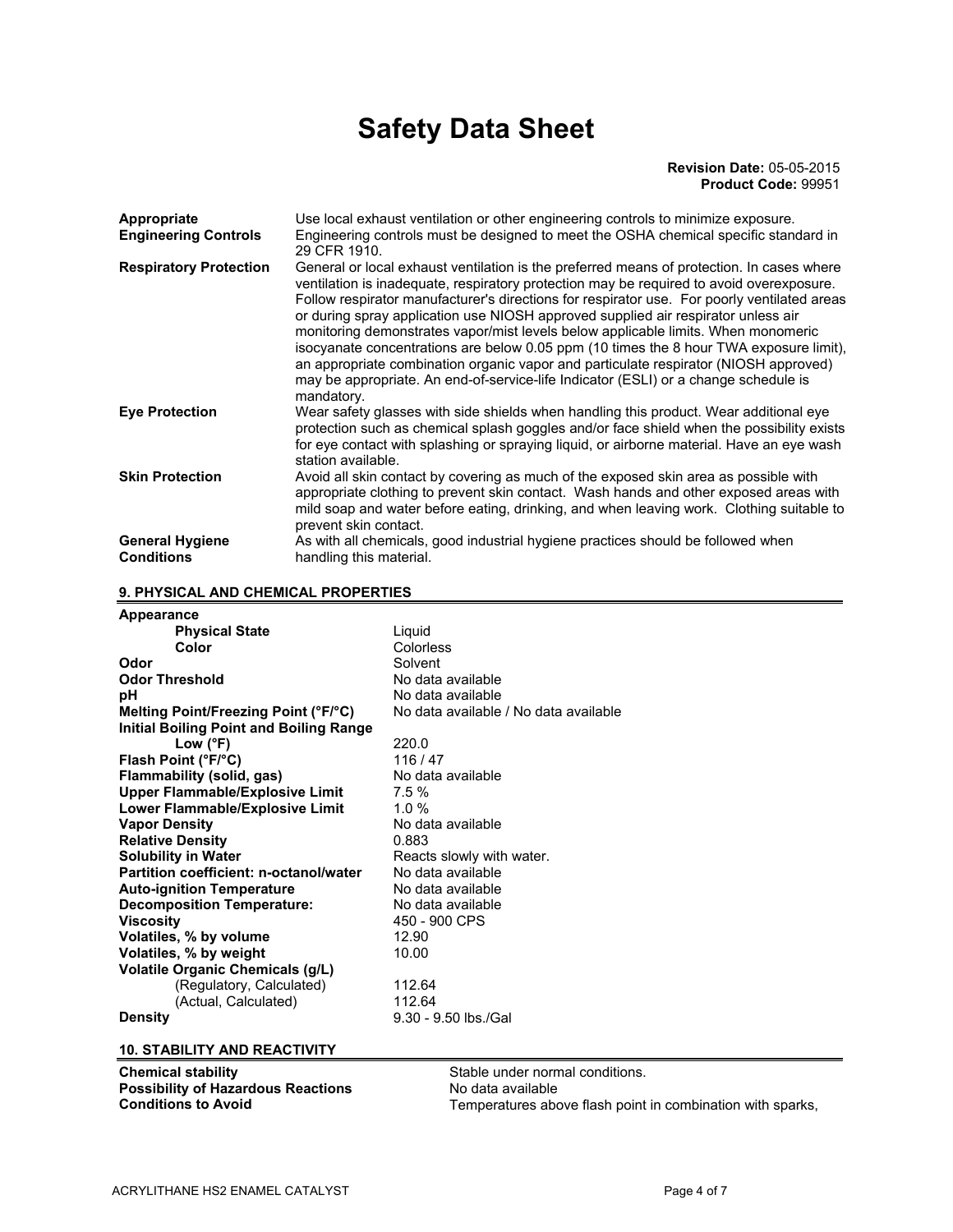#### **Revision Date:** 05-05-2015 **Product Code:** 99951

| <b>Appropriate</b><br><b>Engineering Controls</b> | Use local exhaust ventilation or other engineering controls to minimize exposure.<br>Engineering controls must be designed to meet the OSHA chemical specific standard in<br>29 CFR 1910.                                                                                                                                                                                                                                                                                                                                                                                                                                                                                                                                                             |
|---------------------------------------------------|-------------------------------------------------------------------------------------------------------------------------------------------------------------------------------------------------------------------------------------------------------------------------------------------------------------------------------------------------------------------------------------------------------------------------------------------------------------------------------------------------------------------------------------------------------------------------------------------------------------------------------------------------------------------------------------------------------------------------------------------------------|
| <b>Respiratory Protection</b>                     | General or local exhaust ventilation is the preferred means of protection. In cases where<br>ventilation is inadequate, respiratory protection may be required to avoid overexposure.<br>Follow respirator manufacturer's directions for respirator use. For poorly ventilated areas<br>or during spray application use NIOSH approved supplied air respirator unless air<br>monitoring demonstrates vapor/mist levels below applicable limits. When monomeric<br>isocyanate concentrations are below 0.05 ppm (10 times the 8 hour TWA exposure limit),<br>an appropriate combination organic vapor and particulate respirator (NIOSH approved)<br>may be appropriate. An end-of-service-life Indicator (ESLI) or a change schedule is<br>mandatory. |
| <b>Eye Protection</b>                             | Wear safety glasses with side shields when handling this product. Wear additional eye<br>protection such as chemical splash goggles and/or face shield when the possibility exists<br>for eye contact with splashing or spraying liquid, or airborne material. Have an eye wash<br>station available.                                                                                                                                                                                                                                                                                                                                                                                                                                                 |
| <b>Skin Protection</b>                            | Avoid all skin contact by covering as much of the exposed skin area as possible with<br>appropriate clothing to prevent skin contact. Wash hands and other exposed areas with<br>mild soap and water before eating, drinking, and when leaving work. Clothing suitable to<br>prevent skin contact.                                                                                                                                                                                                                                                                                                                                                                                                                                                    |
| <b>General Hygiene</b><br><b>Conditions</b>       | As with all chemicals, good industrial hygiene practices should be followed when<br>handling this material.                                                                                                                                                                                                                                                                                                                                                                                                                                                                                                                                                                                                                                           |

**9. PHYSICAL AND CHEMICAL PROPERTIES** 

| Appearance                                     |                                       |
|------------------------------------------------|---------------------------------------|
| <b>Physical State</b>                          | Liguid                                |
| Color                                          | Colorless                             |
| Odor                                           | Solvent                               |
| <b>Odor Threshold</b>                          | No data available                     |
| рH                                             | No data available                     |
| Melting Point/Freezing Point (°F/°C)           | No data available / No data available |
| <b>Initial Boiling Point and Boiling Range</b> |                                       |
| Low $(^{\circ}F)$                              | 220.0                                 |
| Flash Point (°F/°C)                            | 116/47                                |
| Flammability (solid, gas)                      | No data available                     |
| <b>Upper Flammable/Explosive Limit</b>         | 7.5%                                  |
| Lower Flammable/Explosive Limit                | 1.0 $%$                               |
| <b>Vapor Density</b>                           | No data available                     |
| <b>Relative Density</b>                        | 0.883                                 |
| <b>Solubility in Water</b>                     | Reacts slowly with water.             |
| Partition coefficient: n-octanol/water         | No data available                     |
| <b>Auto-ignition Temperature</b>               | No data available                     |
| <b>Decomposition Temperature:</b>              | No data available                     |
| <b>Viscosity</b>                               | 450 - 900 CPS                         |
| Volatiles, % by volume                         | 12.90                                 |
| Volatiles, % by weight                         | 10.00                                 |
| <b>Volatile Organic Chemicals (g/L)</b>        |                                       |
| (Regulatory, Calculated)                       | 112.64                                |
| (Actual, Calculated)                           | 112.64                                |
| <b>Density</b>                                 | $9.30 - 9.50$ lbs./Gal                |

**10. STABILITY AND REACTIVITY** 

**Chemical stability Chemical stability Stable under normal conditions. Possibility of Hazardous Reactions No data available**<br>**Conditions to Avoid Conditions Conditions No Note Conditions** 

Temperatures above flash point in combination with sparks,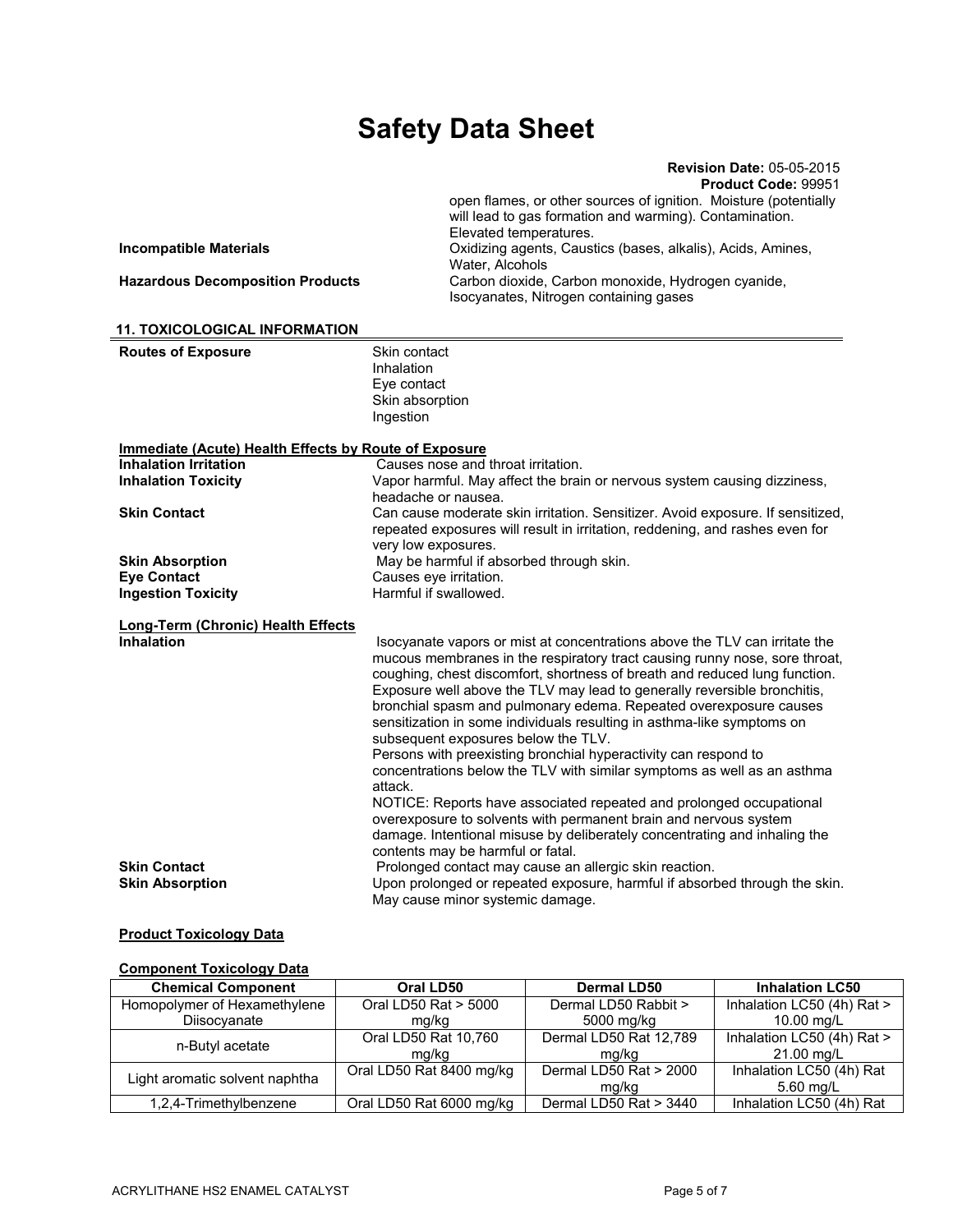|                                         | <b>Revision Date: 05-05-2015</b><br>Product Code: 99951                                      |
|-----------------------------------------|----------------------------------------------------------------------------------------------|
|                                         | open flames, or other sources of ignition. Moisture (potentially                             |
|                                         | will lead to gas formation and warming). Contamination.                                      |
|                                         | Elevated temperatures.                                                                       |
| <b>Incompatible Materials</b>           | Oxidizing agents, Caustics (bases, alkalis), Acids, Amines,<br>Water, Alcohols               |
| <b>Hazardous Decomposition Products</b> | Carbon dioxide, Carbon monoxide, Hydrogen cyanide,<br>Isocyanates, Nitrogen containing gases |

| <b>Routes of Exposure</b>                             | Skin contact<br>Inhalation<br>Eye contact<br>Skin absorption                                                                                                                                                                                                                                                                                                                                                                                                                                             |
|-------------------------------------------------------|----------------------------------------------------------------------------------------------------------------------------------------------------------------------------------------------------------------------------------------------------------------------------------------------------------------------------------------------------------------------------------------------------------------------------------------------------------------------------------------------------------|
|                                                       | Ingestion                                                                                                                                                                                                                                                                                                                                                                                                                                                                                                |
| Immediate (Acute) Health Effects by Route of Exposure |                                                                                                                                                                                                                                                                                                                                                                                                                                                                                                          |
| <b>Inhalation Irritation</b>                          | Causes nose and throat irritation.                                                                                                                                                                                                                                                                                                                                                                                                                                                                       |
| <b>Inhalation Toxicity</b>                            | Vapor harmful. May affect the brain or nervous system causing dizziness,                                                                                                                                                                                                                                                                                                                                                                                                                                 |
|                                                       | headache or nausea.                                                                                                                                                                                                                                                                                                                                                                                                                                                                                      |
| <b>Skin Contact</b>                                   | Can cause moderate skin irritation. Sensitizer. Avoid exposure. If sensitized,<br>repeated exposures will result in irritation, reddening, and rashes even for<br>very low exposures.                                                                                                                                                                                                                                                                                                                    |
| <b>Skin Absorption</b>                                | May be harmful if absorbed through skin.                                                                                                                                                                                                                                                                                                                                                                                                                                                                 |
| <b>Eye Contact</b>                                    | Causes eve irritation.                                                                                                                                                                                                                                                                                                                                                                                                                                                                                   |
| <b>Ingestion Toxicity</b>                             | Harmful if swallowed.                                                                                                                                                                                                                                                                                                                                                                                                                                                                                    |
|                                                       |                                                                                                                                                                                                                                                                                                                                                                                                                                                                                                          |
| <b>Long-Term (Chronic) Health Effects</b>             |                                                                                                                                                                                                                                                                                                                                                                                                                                                                                                          |
| <b>Inhalation</b>                                     | Isocyanate vapors or mist at concentrations above the TLV can irritate the<br>mucous membranes in the respiratory tract causing runny nose, sore throat,<br>coughing, chest discomfort, shortness of breath and reduced lung function.<br>Exposure well above the TLV may lead to generally reversible bronchitis,<br>bronchial spasm and pulmonary edema. Repeated overexposure causes<br>sensitization in some individuals resulting in asthma-like symptoms on<br>subsequent exposures below the TLV. |
|                                                       | Persons with preexisting bronchial hyperactivity can respond to<br>concentrations below the TLV with similar symptoms as well as an asthma<br>attack.                                                                                                                                                                                                                                                                                                                                                    |
|                                                       | NOTICE: Reports have associated repeated and prolonged occupational<br>overexposure to solvents with permanent brain and nervous system<br>damage. Intentional misuse by deliberately concentrating and inhaling the<br>contents may be harmful or fatal.                                                                                                                                                                                                                                                |
| <b>Skin Contact</b>                                   | Prolonged contact may cause an allergic skin reaction.                                                                                                                                                                                                                                                                                                                                                                                                                                                   |
| <b>Skin Absorption</b>                                | Upon prolonged or repeated exposure, harmful if absorbed through the skin.<br>May cause minor systemic damage.                                                                                                                                                                                                                                                                                                                                                                                           |

#### **Product Toxicology Data**

### **Component Toxicology Data**

 **11. TOXICOLOGICAL INFORMATION** 

| <b>Chemical Component</b>      | Oral LD50                | <b>Dermal LD50</b>     | <b>Inhalation LC50</b>     |
|--------------------------------|--------------------------|------------------------|----------------------------|
| Homopolymer of Hexamethylene   | Oral LD50 Rat > 5000     | Dermal LD50 Rabbit >   | Inhalation LC50 (4h) Rat > |
| Diisocyanate                   | mg/kg                    | 5000 mg/kg             | 10.00 mg/L                 |
| n-Butyl acetate                | Oral LD50 Rat 10,760     | Dermal LD50 Rat 12,789 | Inhalation LC50 (4h) Rat > |
|                                | mg/kg                    | mg/kg                  | 21.00 mg/L                 |
| Light aromatic solvent naphtha | Oral LD50 Rat 8400 mg/kg | Dermal LD50 Rat > 2000 | Inhalation LC50 (4h) Rat   |
|                                |                          | mg/kg                  | 5.60 mg/L                  |
| 1,2,4-Trimethylbenzene         | Oral LD50 Rat 6000 mg/kg | Dermal LD50 Rat > 3440 | Inhalation LC50 (4h) Rat   |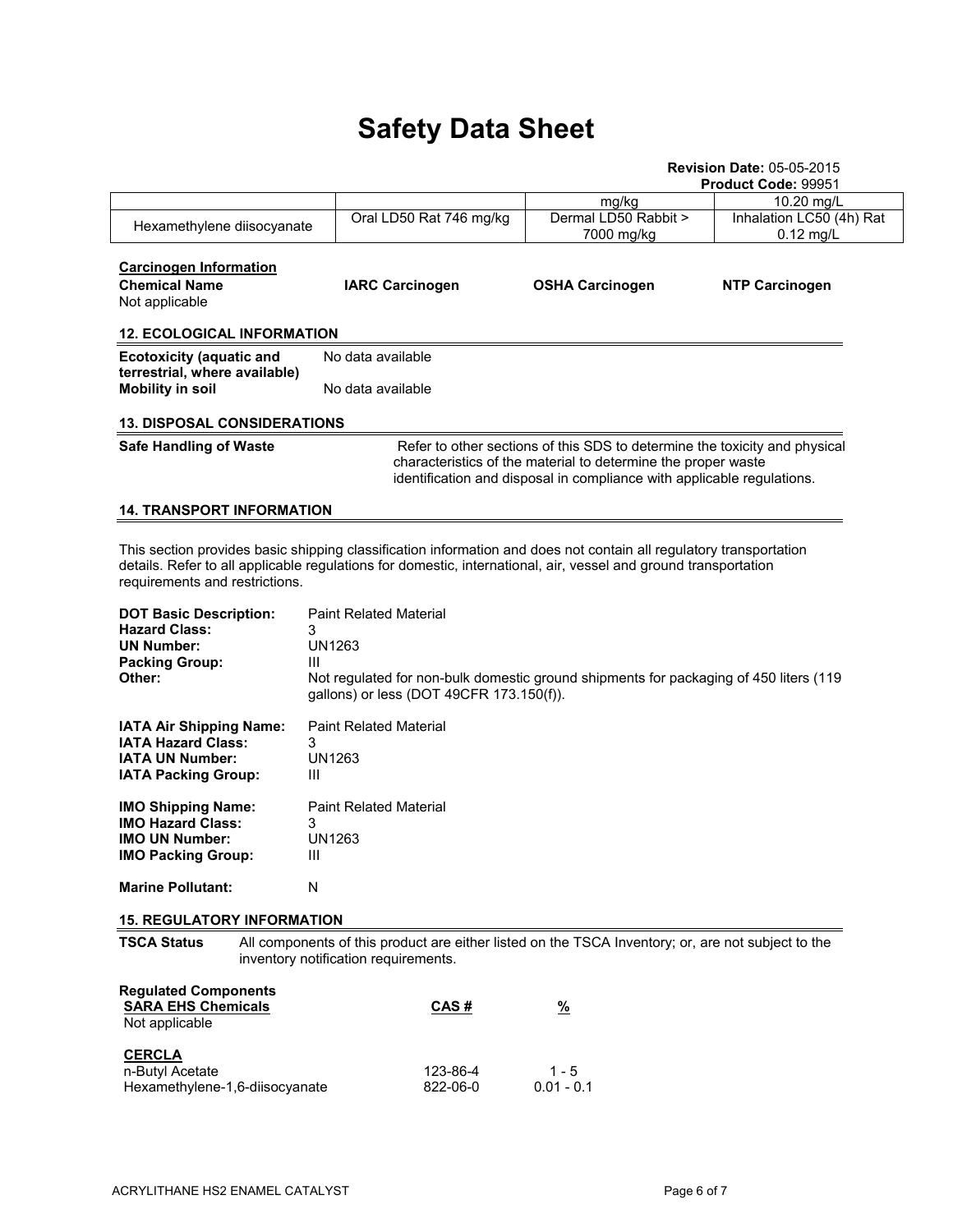|                                                                                                                                                                                                                                                                         |                                                                                                                                                                                                                       |                                          | <b>Revision Date: 05-05-2015</b><br>Product Code: 99951                               |                                         |  |  |  |
|-------------------------------------------------------------------------------------------------------------------------------------------------------------------------------------------------------------------------------------------------------------------------|-----------------------------------------------------------------------------------------------------------------------------------------------------------------------------------------------------------------------|------------------------------------------|---------------------------------------------------------------------------------------|-----------------------------------------|--|--|--|
|                                                                                                                                                                                                                                                                         |                                                                                                                                                                                                                       |                                          | mg/kg                                                                                 | 10.20 mg/L                              |  |  |  |
| Hexamethylene diisocyanate                                                                                                                                                                                                                                              |                                                                                                                                                                                                                       | Oral LD50 Rat 746 mg/kg                  | Dermal LD50 Rabbit ><br>7000 mg/kg                                                    | Inhalation LC50 (4h) Rat<br>$0.12$ mg/L |  |  |  |
| <b>Carcinogen Information</b><br><b>Chemical Name</b><br>Not applicable                                                                                                                                                                                                 |                                                                                                                                                                                                                       | <b>IARC Carcinogen</b>                   | <b>OSHA Carcinogen</b>                                                                | <b>NTP Carcinogen</b>                   |  |  |  |
| <b>12. ECOLOGICAL INFORMATION</b>                                                                                                                                                                                                                                       |                                                                                                                                                                                                                       |                                          |                                                                                       |                                         |  |  |  |
| <b>Ecotoxicity (aquatic and</b><br>terrestrial, where available)                                                                                                                                                                                                        | No data available                                                                                                                                                                                                     |                                          |                                                                                       |                                         |  |  |  |
| <b>Mobility in soil</b>                                                                                                                                                                                                                                                 | No data available                                                                                                                                                                                                     |                                          |                                                                                       |                                         |  |  |  |
| <b>13. DISPOSAL CONSIDERATIONS</b>                                                                                                                                                                                                                                      |                                                                                                                                                                                                                       |                                          |                                                                                       |                                         |  |  |  |
| <b>Safe Handling of Waste</b>                                                                                                                                                                                                                                           | Refer to other sections of this SDS to determine the toxicity and physical<br>characteristics of the material to determine the proper waste<br>identification and disposal in compliance with applicable regulations. |                                          |                                                                                       |                                         |  |  |  |
| <b>14. TRANSPORT INFORMATION</b>                                                                                                                                                                                                                                        |                                                                                                                                                                                                                       |                                          |                                                                                       |                                         |  |  |  |
| This section provides basic shipping classification information and does not contain all regulatory transportation<br>details. Refer to all applicable regulations for domestic, international, air, vessel and ground transportation<br>requirements and restrictions. |                                                                                                                                                                                                                       |                                          |                                                                                       |                                         |  |  |  |
| <b>DOT Basic Description:</b><br><b>Hazard Class:</b><br><b>UN Number:</b><br><b>Packing Group:</b><br>Other:                                                                                                                                                           | <b>Paint Related Material</b><br>3<br>UN1263<br>Ш                                                                                                                                                                     | gallons) or less (DOT 49CFR 173.150(f)). | Not regulated for non-bulk domestic ground shipments for packaging of 450 liters (119 |                                         |  |  |  |
| IATA Air Shipping Name:<br><b>IATA Hazard Class:</b><br><b>IATA UN Number:</b><br><b>IATA Packing Group:</b>                                                                                                                                                            | <b>Paint Related Material</b><br>3<br><b>UN1263</b><br>Ш                                                                                                                                                              |                                          |                                                                                       |                                         |  |  |  |
| <b>IMO Shipping Name:</b><br><b>IMO Hazard Class:</b><br><b>IMO UN Number:</b><br><b>IMO Packing Group:</b>                                                                                                                                                             | <b>Paint Related Material</b><br>3<br><b>UN1263</b><br>Ш                                                                                                                                                              |                                          |                                                                                       |                                         |  |  |  |
| <b>Marine Pollutant:</b>                                                                                                                                                                                                                                                | N                                                                                                                                                                                                                     |                                          |                                                                                       |                                         |  |  |  |
| <b>15. REGULATORY INFORMATION</b>                                                                                                                                                                                                                                       |                                                                                                                                                                                                                       |                                          |                                                                                       |                                         |  |  |  |
| All components of this product are either listed on the TSCA Inventory; or, are not subject to the<br><b>TSCA Status</b><br>inventory notification requirements.                                                                                                        |                                                                                                                                                                                                                       |                                          |                                                                                       |                                         |  |  |  |
| <b>Regulated Components</b><br><b>SARA EHS Chemicals</b><br>Not applicable                                                                                                                                                                                              |                                                                                                                                                                                                                       | CAS#                                     | $\frac{9}{6}$                                                                         |                                         |  |  |  |
| <b>CERCLA</b><br>n-Butyl Acetate<br>Hexamethylene-1,6-diisocyanate                                                                                                                                                                                                      |                                                                                                                                                                                                                       | 123-86-4<br>822-06-0                     | $1 - 5$<br>$0.01 - 0.1$                                                               |                                         |  |  |  |